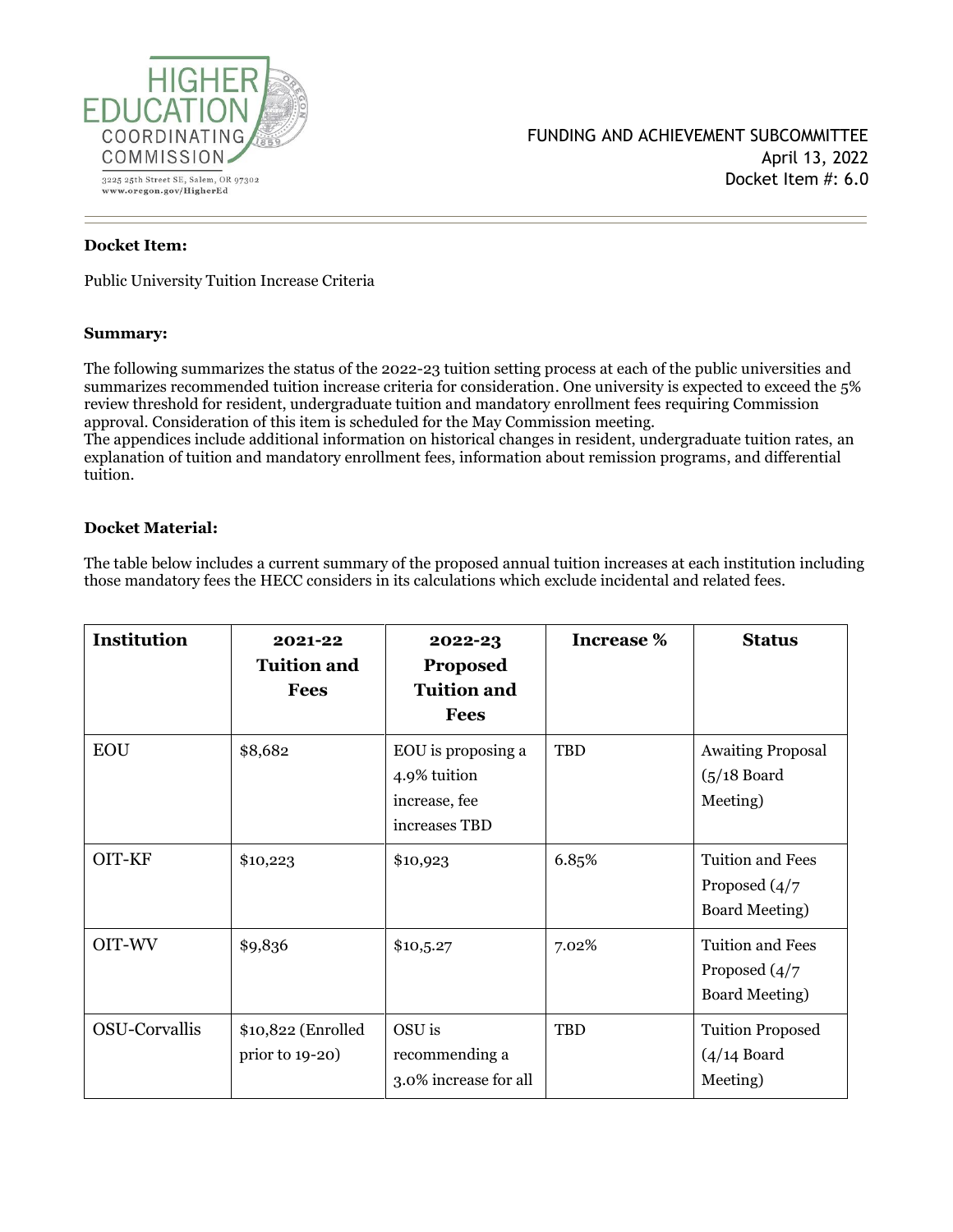

#### **Docket Item:**

Public University Tuition Increase Criteria

#### **Summary:**

The following summarizes the status of the 2022-23 tuition setting process at each of the public universities and summarizes recommended tuition increase criteria for consideration. One university is expected to exceed the 5% review threshold for resident, undergraduate tuition and mandatory enrollment fees requiring Commission approval. Consideration of this item is scheduled for the May Commission meeting.

The appendices include additional information on historical changes in resident, undergraduate tuition rates, an explanation of tuition and mandatory enrollment fees, information about remission programs, and differential tuition.

#### **Docket Material:**

The table below includes a current summary of the proposed annual tuition increases at each institution including those mandatory fees the HECC considers in its calculations which exclude incidental and related fees.

| <b>Institution</b> | 2021-22<br><b>Tuition and</b><br><b>Fees</b> | 2022-23<br><b>Proposed</b><br><b>Tuition and</b><br><b>Fees</b>      | <b>Increase</b> % | <b>Status</b>                                                                    |
|--------------------|----------------------------------------------|----------------------------------------------------------------------|-------------------|----------------------------------------------------------------------------------|
| <b>EOU</b>         | \$8,682                                      | EOU is proposing a<br>4.9% tuition<br>increase, fee<br>increases TBD | TBD               | <b>Awaiting Proposal</b><br>$(5/18$ Board<br>Meeting)                            |
| OIT-KF             | \$10,223                                     | \$10,923                                                             | 6.85%             | <b>Tuition and Fees</b><br>Proposed $\left(\frac{4}{7}\right)$<br>Board Meeting) |
| OIT-WV             | \$9,836                                      | \$10,5.27                                                            | 7.02%             | Tuition and Fees<br>Proposed $\left(\frac{4}{7}\right)$<br><b>Board Meeting)</b> |
| OSU-Corvallis      | \$10,822 (Enrolled<br>prior to 19-20)        | OSU is<br>recommending a<br>3.0% increase for all                    | TBD               | <b>Tuition Proposed</b><br>$(4/14$ Board<br>Meeting)                             |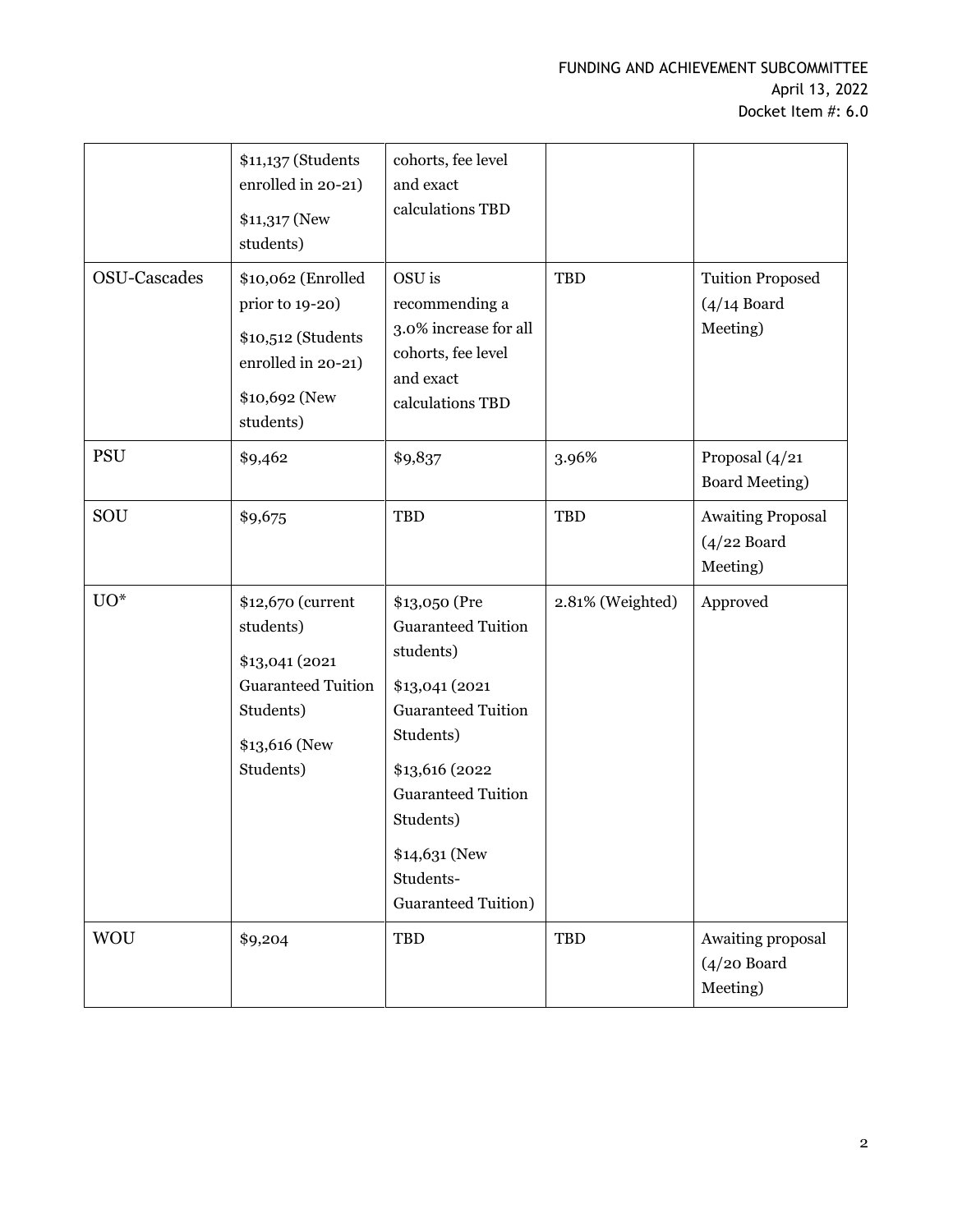|              | \$11,137 (Students<br>enrolled in 20-21)<br>\$11,317 (New<br>students)                                                   | cohorts, fee level<br>and exact<br>calculations TBD                                                                                                                                                                                  |                  |                                                       |
|--------------|--------------------------------------------------------------------------------------------------------------------------|--------------------------------------------------------------------------------------------------------------------------------------------------------------------------------------------------------------------------------------|------------------|-------------------------------------------------------|
| OSU-Cascades | \$10,062 (Enrolled<br>prior to 19-20)<br>\$10,512 (Students<br>enrolled in 20-21)<br>\$10,692 (New<br>students)          | OSU is<br>recommending a<br>3.0% increase for all<br>cohorts, fee level<br>and exact<br>calculations TBD                                                                                                                             | <b>TBD</b>       | <b>Tuition Proposed</b><br>$(4/14$ Board<br>Meeting)  |
| <b>PSU</b>   | \$9,462                                                                                                                  | \$9,837                                                                                                                                                                                                                              | 3.96%            | Proposal (4/21<br><b>Board Meeting)</b>               |
| SOU          | \$9,675                                                                                                                  | <b>TBD</b>                                                                                                                                                                                                                           | <b>TBD</b>       | <b>Awaiting Proposal</b><br>$(4/22$ Board<br>Meeting) |
| $UO^*$       | \$12,670 (current<br>students)<br>\$13,041 (2021<br><b>Guaranteed Tuition</b><br>Students)<br>\$13,616 (New<br>Students) | \$13,050 (Pre<br><b>Guaranteed Tuition</b><br>students)<br>\$13,041 (2021<br><b>Guaranteed Tuition</b><br>Students)<br>\$13,616 (2022<br><b>Guaranteed Tuition</b><br>Students)<br>\$14,631 (New<br>Students-<br>Guaranteed Tuition) | 2.81% (Weighted) | Approved                                              |
| <b>WOU</b>   | \$9,204                                                                                                                  | <b>TBD</b>                                                                                                                                                                                                                           | TBD              | Awaiting proposal<br>$(4/20$ Board<br>Meeting)        |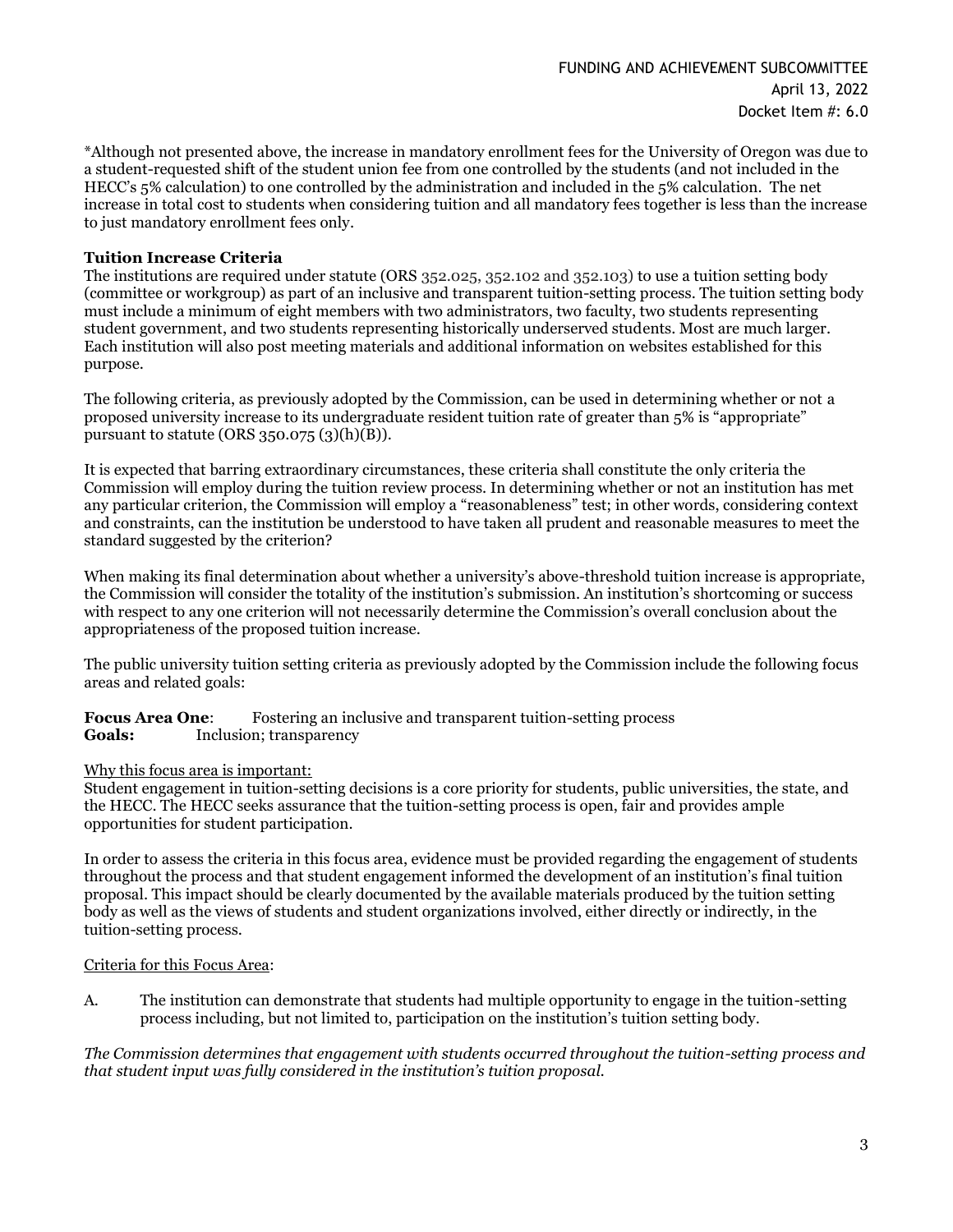\*Although not presented above, the increase in mandatory enrollment fees for the University of Oregon was due to a student-requested shift of the student union fee from one controlled by the students (and not included in the HECC's 5% calculation) to one controlled by the administration and included in the 5% calculation. The net increase in total cost to students when considering tuition and all mandatory fees together is less than the increase to just mandatory enrollment fees only.

#### **Tuition Increase Criteria**

The institutions are required under statute (ORS 352.025, 352.102 and 352.103) to use a tuition setting body (committee or workgroup) as part of an inclusive and transparent tuition-setting process. The tuition setting body must include a minimum of eight members with two administrators, two faculty, two students representing student government, and two students representing historically underserved students. Most are much larger. Each institution will also post meeting materials and additional information on websites established for this purpose.

The following criteria, as previously adopted by the Commission, can be used in determining whether or not a proposed university increase to its undergraduate resident tuition rate of greater than 5% is "appropriate" pursuant to statute (ORS  $350.075$   $(3)(h)(B)$ ).

It is expected that barring extraordinary circumstances, these criteria shall constitute the only criteria the Commission will employ during the tuition review process. In determining whether or not an institution has met any particular criterion, the Commission will employ a "reasonableness" test; in other words, considering context and constraints, can the institution be understood to have taken all prudent and reasonable measures to meet the standard suggested by the criterion?

When making its final determination about whether a university's above-threshold tuition increase is appropriate, the Commission will consider the totality of the institution's submission. An institution's shortcoming or success with respect to any one criterion will not necessarily determine the Commission's overall conclusion about the appropriateness of the proposed tuition increase.

The public university tuition setting criteria as previously adopted by the Commission include the following focus areas and related goals:

#### **Focus Area One:** Fostering an inclusive and transparent tuition-setting process **Goals:** Inclusion; transparency

#### Why this focus area is important:

Student engagement in tuition-setting decisions is a core priority for students, public universities, the state, and the HECC. The HECC seeks assurance that the tuition-setting process is open, fair and provides ample opportunities for student participation.

In order to assess the criteria in this focus area, evidence must be provided regarding the engagement of students throughout the process and that student engagement informed the development of an institution's final tuition proposal. This impact should be clearly documented by the available materials produced by the tuition setting body as well as the views of students and student organizations involved, either directly or indirectly, in the tuition-setting process.

#### Criteria for this Focus Area:

A. The institution can demonstrate that students had multiple opportunity to engage in the tuition-setting process including, but not limited to, participation on the institution's tuition setting body.

*The Commission determines that engagement with students occurred throughout the tuition-setting process and that student input was fully considered in the institution's tuition proposal.*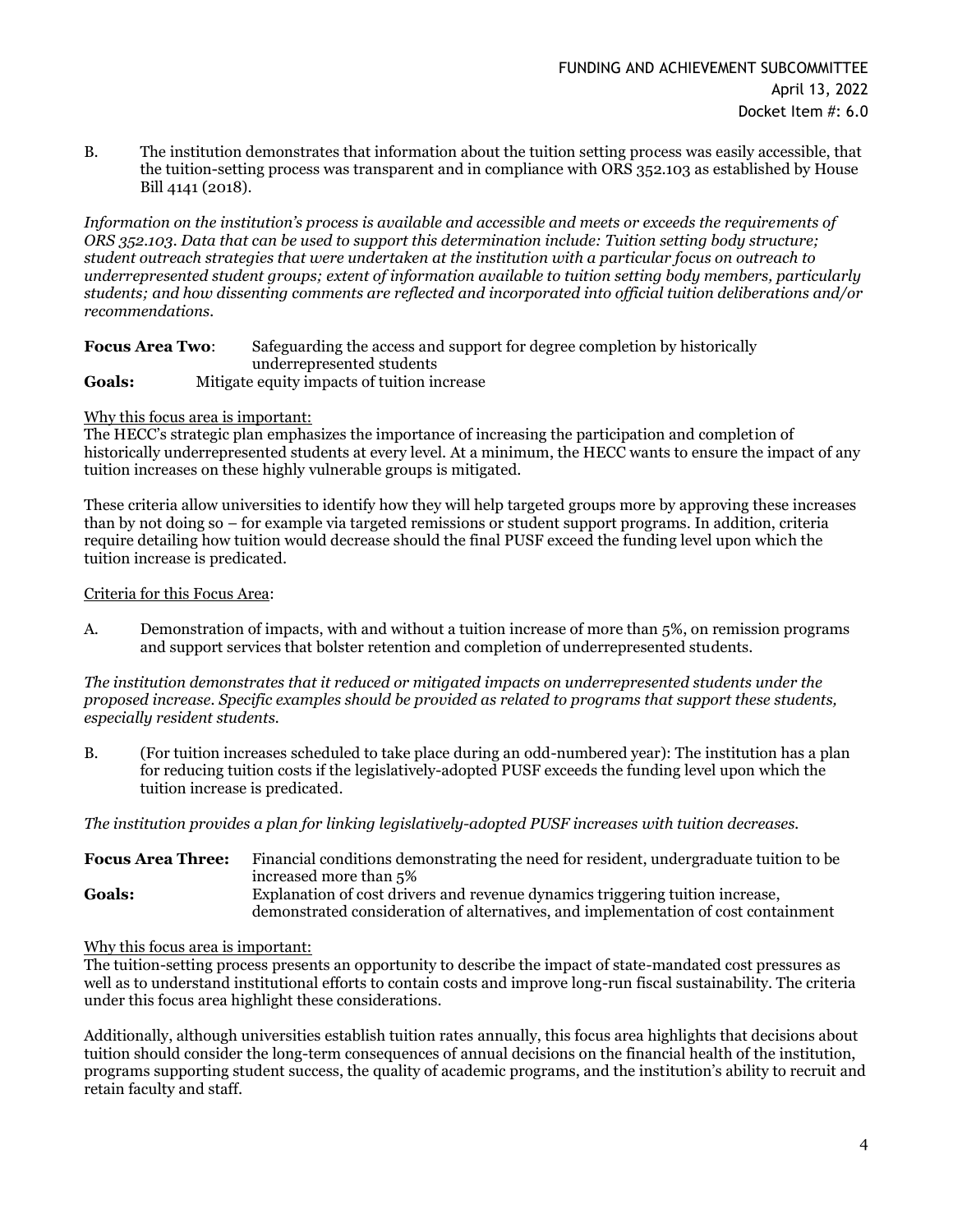B. The institution demonstrates that information about the tuition setting process was easily accessible, that the tuition-setting process was transparent and in compliance with ORS 352.103 as established by House Bill 4141 (2018).

*Information on the institution's process is available and accessible and meets or exceeds the requirements of ORS 352.103. Data that can be used to support this determination include: Tuition setting body structure; student outreach strategies that were undertaken at the institution with a particular focus on outreach to underrepresented student groups; extent of information available to tuition setting body members, particularly students; and how dissenting comments are reflected and incorporated into official tuition deliberations and/or recommendations.*

| <b>Focus Area Two:</b> | Safeguarding the access and support for degree completion by historically |
|------------------------|---------------------------------------------------------------------------|
|                        | underrepresented students                                                 |
| <b>Goals:</b>          | Mitigate equity impacts of tuition increase                               |

#### Why this focus area is important:

The HECC's strategic plan emphasizes the importance of increasing the participation and completion of historically underrepresented students at every level. At a minimum, the HECC wants to ensure the impact of any tuition increases on these highly vulnerable groups is mitigated.

These criteria allow universities to identify how they will help targeted groups more by approving these increases than by not doing so – for example via targeted remissions or student support programs. In addition, criteria require detailing how tuition would decrease should the final PUSF exceed the funding level upon which the tuition increase is predicated.

#### Criteria for this Focus Area:

A. Demonstration of impacts, with and without a tuition increase of more than 5%, on remission programs and support services that bolster retention and completion of underrepresented students.

*The institution demonstrates that it reduced or mitigated impacts on underrepresented students under the proposed increase. Specific examples should be provided as related to programs that support these students, especially resident students.*

B. (For tuition increases scheduled to take place during an odd-numbered year): The institution has a plan for reducing tuition costs if the legislatively-adopted PUSF exceeds the funding level upon which the tuition increase is predicated.

*The institution provides a plan for linking legislatively-adopted PUSF increases with tuition decreases.*

**Focus Area Three:** Financial conditions demonstrating the need for resident, undergraduate tuition to be increased more than 5% **Goals:** Explanation of cost drivers and revenue dynamics triggering tuition increase, demonstrated consideration of alternatives, and implementation of cost containment

#### Why this focus area is important:

The tuition-setting process presents an opportunity to describe the impact of state-mandated cost pressures as well as to understand institutional efforts to contain costs and improve long-run fiscal sustainability. The criteria under this focus area highlight these considerations.

Additionally, although universities establish tuition rates annually, this focus area highlights that decisions about tuition should consider the long-term consequences of annual decisions on the financial health of the institution, programs supporting student success, the quality of academic programs, and the institution's ability to recruit and retain faculty and staff.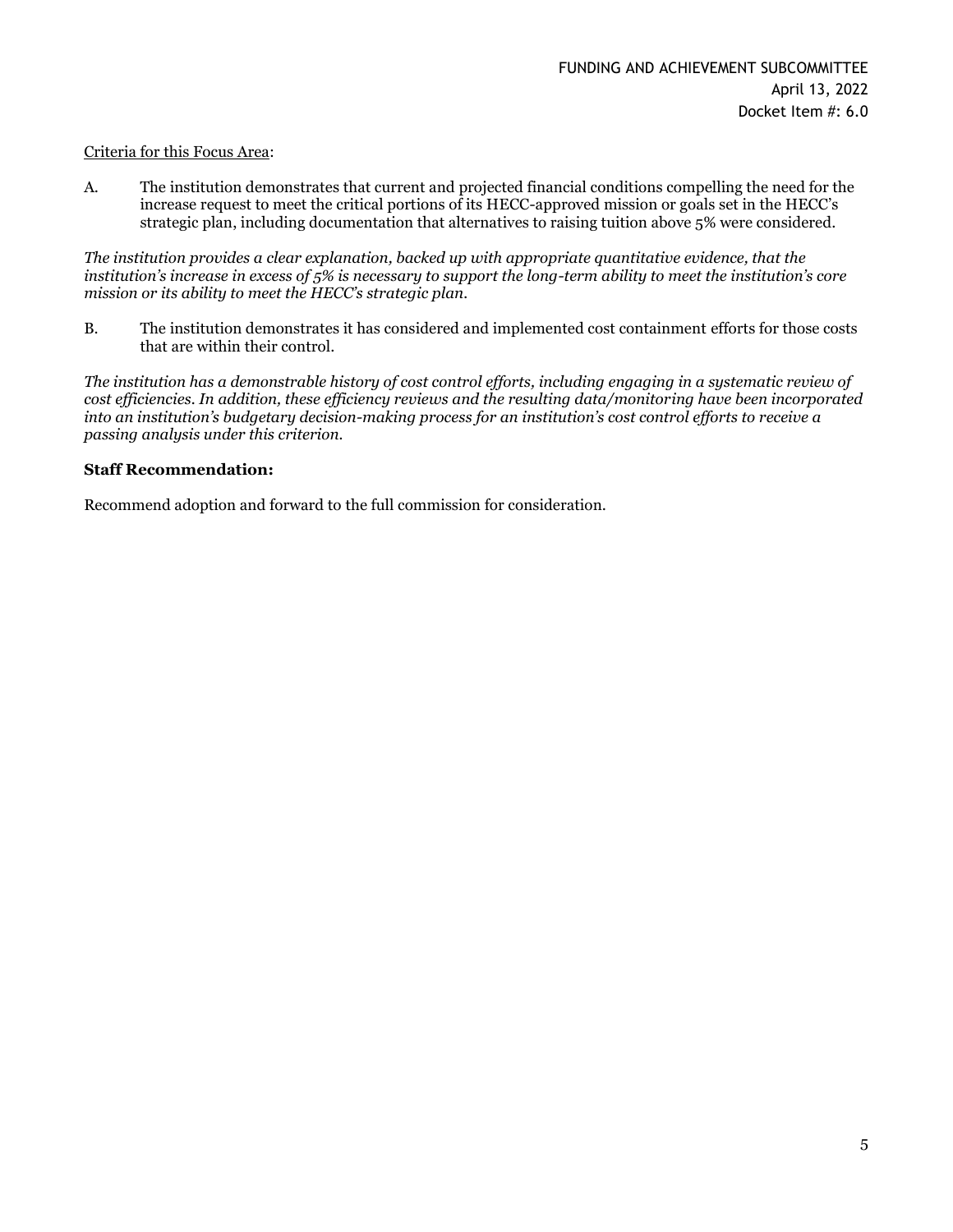#### Criteria for this Focus Area:

A. The institution demonstrates that current and projected financial conditions compelling the need for the increase request to meet the critical portions of its HECC-approved mission or goals set in the HECC's strategic plan, including documentation that alternatives to raising tuition above 5% were considered.

*The institution provides a clear explanation, backed up with appropriate quantitative evidence, that the institution's increase in excess of 5% is necessary to support the long-term ability to meet the institution's core mission or its ability to meet the HECC's strategic plan.*

B. The institution demonstrates it has considered and implemented cost containment efforts for those costs that are within their control.

*The institution has a demonstrable history of cost control efforts, including engaging in a systematic review of cost efficiencies. In addition, these efficiency reviews and the resulting data/monitoring have been incorporated into an institution's budgetary decision-making process for an institution's cost control efforts to receive a passing analysis under this criterion.*

#### **Staff Recommendation:**

Recommend adoption and forward to the full commission for consideration.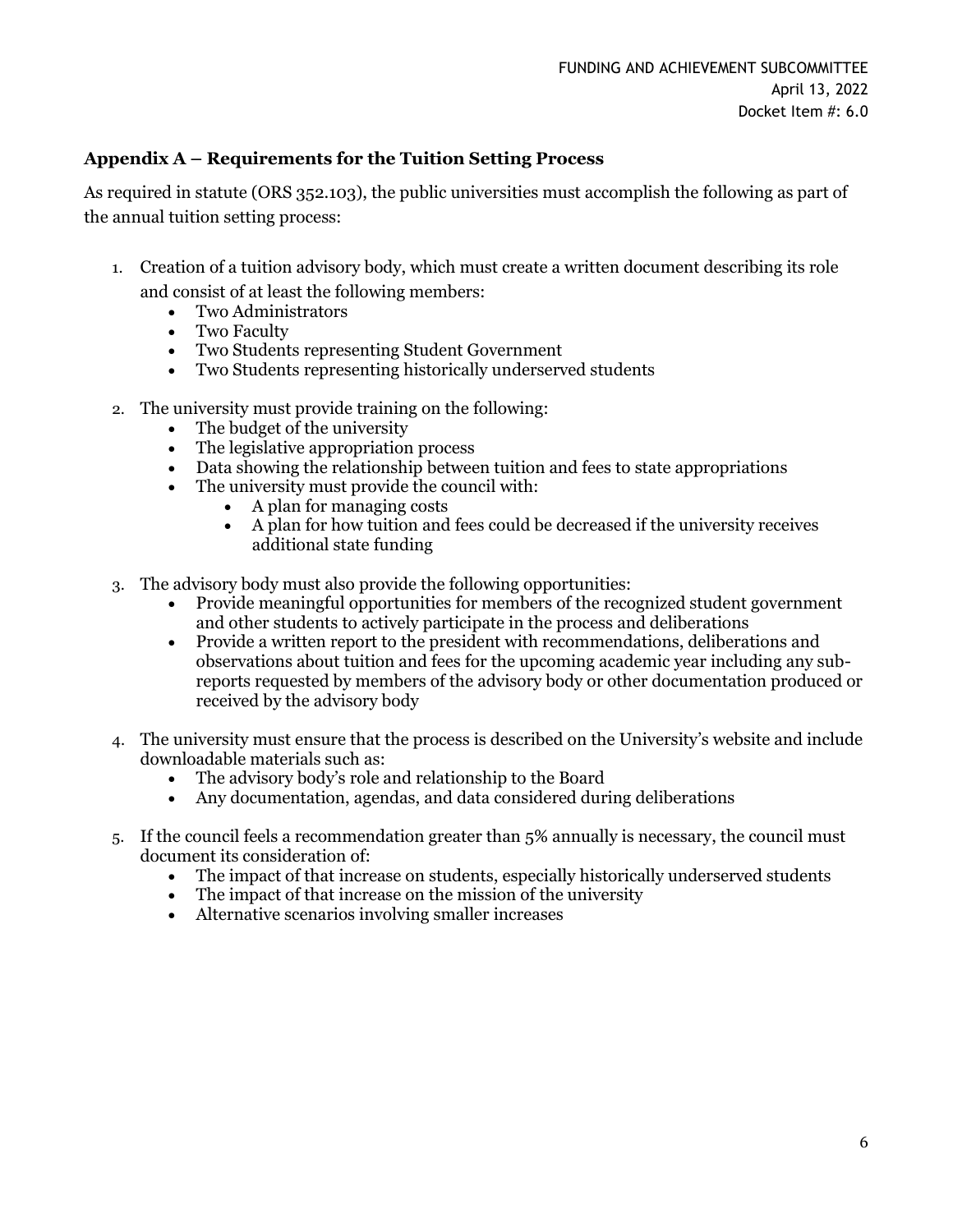### **Appendix A – Requirements for the Tuition Setting Process**

As required in statute (ORS 352.103), the public universities must accomplish the following as part of the annual tuition setting process:

- 1. Creation of a tuition advisory body, which must create a written document describing its role and consist of at least the following members:
	- Two Administrators
	- Two Faculty
	- Two Students representing Student Government
	- Two Students representing historically underserved students
- 2. The university must provide training on the following:
	- The budget of the university
	- The legislative appropriation process
	- Data showing the relationship between tuition and fees to state appropriations
	- The university must provide the council with:
		- A plan for managing costs
		- A plan for how tuition and fees could be decreased if the university receives additional state funding
- 3. The advisory body must also provide the following opportunities:
	- Provide meaningful opportunities for members of the recognized student government and other students to actively participate in the process and deliberations
	- Provide a written report to the president with recommendations, deliberations and observations about tuition and fees for the upcoming academic year including any subreports requested by members of the advisory body or other documentation produced or received by the advisory body
- 4. The university must ensure that the process is described on the University's website and include downloadable materials such as:
	- The advisory body's role and relationship to the Board
	- Any documentation, agendas, and data considered during deliberations
- 5. If the council feels a recommendation greater than 5% annually is necessary, the council must document its consideration of:
	- The impact of that increase on students, especially historically underserved students
	- The impact of that increase on the mission of the university
	- Alternative scenarios involving smaller increases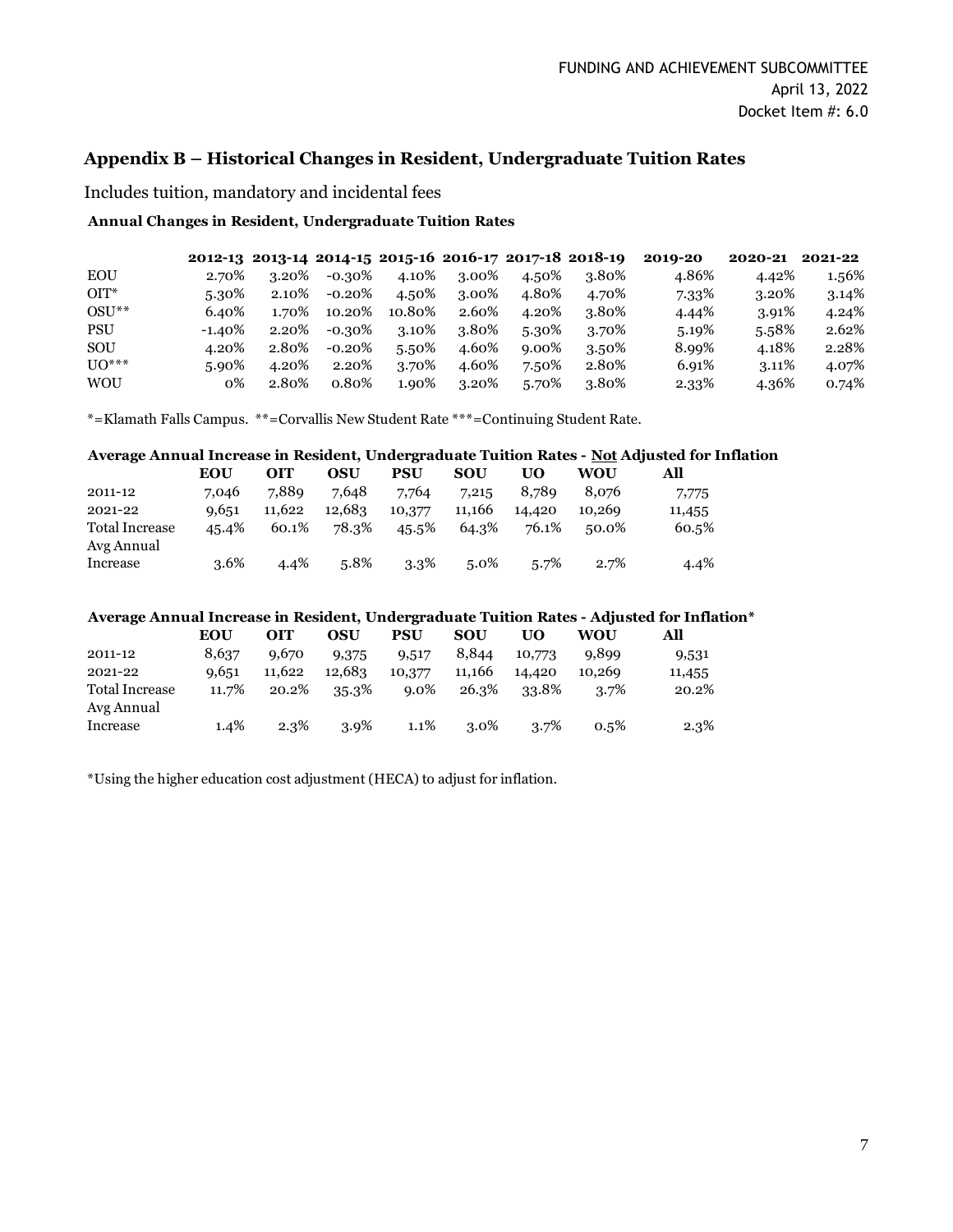#### **Appendix B – Historical Changes in Resident, Undergraduate Tuition Rates**

Includes tuition, mandatory and incidental fees

#### **Annual Changes in Resident, Undergraduate Tuition Rates**

|            |           |       |           |        |       |       | 2012-13 2013-14 2014-15 2015-16 2016-17 2017-18 2018-19 | 2010-20 | 2020-21 | 2021-22 |
|------------|-----------|-------|-----------|--------|-------|-------|---------------------------------------------------------|---------|---------|---------|
| <b>EOU</b> | 2.70%     | 3.20% | -0.30%    | 4.10%  | 3.00% | 4.50% | 3.80%                                                   | 4.86%   | 4.42%   | 1.56%   |
| $OIT^*$    | 5.30%     | 2.10% | $-0.20\%$ | 4.50%  | 3.00% | 4.80% | 4.70%                                                   | 7.33%   | 3.20%   | 3.14%   |
| $OSU**$    | 6.40%     | 1.70% | 10.20%    | 10.80% | 2.60% | 4.20% | 3.80%                                                   | 4.44%   | 3.91%   | 4.24%   |
| <b>PSU</b> | $-1.40\%$ | 2.20% | $-0.30\%$ | 3.10%  | 3.80% | 5.30% | 3.70%                                                   | 5.19%   | 5.58%   | 2.62%   |
| SOU        | 4.20%     | 2.80% | $-0.20\%$ | 5.50%  | 4.60% | 9.00% | 3.50%                                                   | 8.99%   | 4.18%   | 2.28%   |
| $UO***$    | 5.90%     | 4.20% | 2.20%     | 3.70%  | 4.60% | 7.50% | 2.80%                                                   | 6.91%   | 3.11%   | 4.07%   |
| <b>WOU</b> | 0%        | 2.80% | $0.80\%$  | 1.90%  | 3.20% | 5.70% | 3.80%                                                   | 2.33%   | 4.36%   | 0.74%   |

\*=Klamath Falls Campus. \*\*=Corvallis New Student Rate \*\*\*=Continuing Student Rate.

# **Average Annual Increase in Resident, Undergraduate Tuition Rates - Not Adjusted for Inflation**

|                                     | EOU   | оіт    | OSU    | PSU     | <b>SOU</b> | UO     | WOU    | All    |
|-------------------------------------|-------|--------|--------|---------|------------|--------|--------|--------|
| 2011-12                             | 7.046 | 7.889  | 7.648  | 7.764   | 7,215      | 8.789  | 8.076  | 7,775  |
| 2021-22                             | 9,651 | 11.622 | 12,683 | 10,377  | 11.166     | 14,420 | 10.269 | 11,455 |
| <b>Total Increase</b><br>Avg Annual | 45.4% | 60.1%  | 78.3%  | 45.5%   | 64.3%      | 76.1%  | 50.0%  | 60.5%  |
| Increase                            | 3.6%  | 4.4%   | 5.8%   | $3.3\%$ | $5.0\%$    | 5.7%   | 2.7%   | 4.4%   |

#### **Average Annual Increase in Resident, Undergraduate Tuition Rates - Adjusted for Inflation\***

|                       | EOU     | <b>OIT</b> | OSU     | PSU     | SOU     | UO     | WOU     | All    |
|-----------------------|---------|------------|---------|---------|---------|--------|---------|--------|
| 2011-12               | 8,637   | 9.670      | 9,375   | 9,517   | 8,844   | 10,773 | 9.899   | 9,531  |
| 2021-22               | 9,651   | 11.622     | 12,683  | 10,377  | 11.166  | 14,420 | 10.269  | 11,455 |
| <b>Total Increase</b> | 11.7%   | 20.2%      | 35.3%   | $9.0\%$ | 26.3%   | 33.8%  | 3.7%    | 20.2%  |
| Avg Annual            |         |            |         |         |         |        |         |        |
| Increase              | $1.4\%$ | 2.3%       | $3.9\%$ | $1.1\%$ | $3.0\%$ | 3.7%   | $0.5\%$ | 2.3%   |

\*Using the higher education cost adjustment (HECA) to adjust for inflation.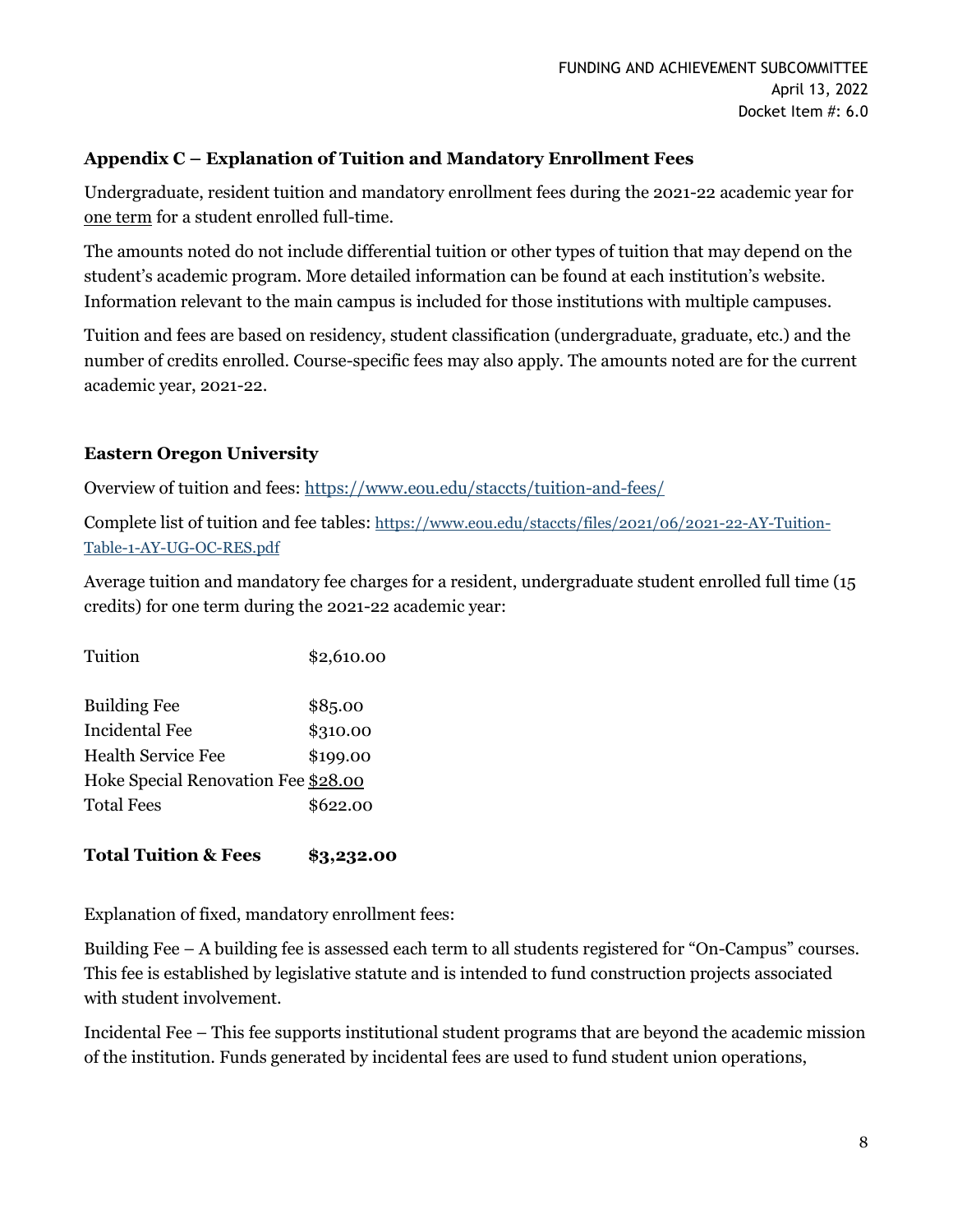### **Appendix C – Explanation of Tuition and Mandatory Enrollment Fees**

Undergraduate, resident tuition and mandatory enrollment fees during the 2021-22 academic year for one term for a student enrolled full-time.

The amounts noted do not include differential tuition or other types of tuition that may depend on the student's academic program. More detailed information can be found at each institution's website. Information relevant to the main campus is included for those institutions with multiple campuses.

Tuition and fees are based on residency, student classification (undergraduate, graduate, etc.) and the number of credits enrolled. Course-specific fees may also apply. The amounts noted are for the current academic year, 2021-22.

# **Eastern Oregon University**

Overview of tuition and fees:<https://www.eou.edu/staccts/tuition-and-fees/>

Complete list of tuition and fee tables: [https://www.eou.edu/staccts/files/2021/06/2021-22-AY-Tuition-](https://www.eou.edu/staccts/files/2021/06/2021-22-AY-Tuition-Table-1-AY-UG-OC-RES.pdf)[Table-1-AY-UG-OC-RES.pdf](https://www.eou.edu/staccts/files/2021/06/2021-22-AY-Tuition-Table-1-AY-UG-OC-RES.pdf)

Average tuition and mandatory fee charges for a resident, undergraduate student enrolled full time (15 credits) for one term during the 2021-22 academic year:

| Tuition                             | \$2,610.00 |
|-------------------------------------|------------|
| <b>Building Fee</b>                 | \$85.00    |
| Incidental Fee                      | \$310.00   |
| Health Service Fee                  | \$199.00   |
| Hoke Special Renovation Fee \$28.00 |            |
| <b>Total Fees</b>                   | \$622.00   |

# **Total Tuition & Fees \$3,232.00**

Explanation of fixed, mandatory enrollment fees:

Building Fee – A building fee is assessed each term to all students registered for "On-Campus" courses. This fee is established by legislative statute and is intended to fund construction projects associated with student involvement.

Incidental Fee – This fee supports institutional student programs that are beyond the academic mission of the institution. Funds generated by incidental fees are used to fund student union operations,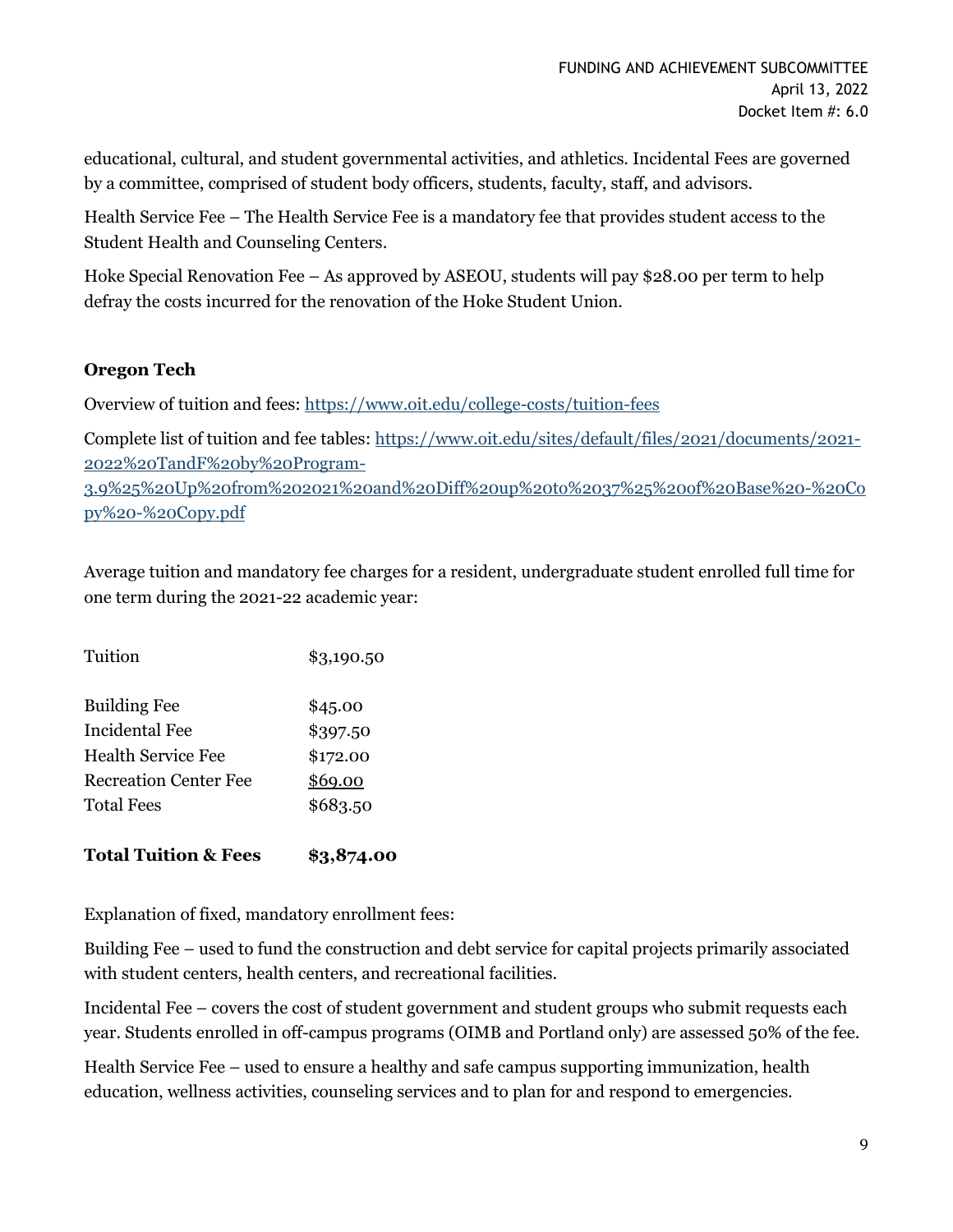educational, cultural, and student governmental activities, and athletics. Incidental Fees are governed by a committee, comprised of student body officers, students, faculty, staff, and advisors.

Health Service Fee – The Health Service Fee is a mandatory fee that provides student access to the Student Health and Counseling Centers.

Hoke Special Renovation Fee – As approved by ASEOU, students will pay \$28.00 per term to help defray the costs incurred for the renovation of the Hoke Student Union.

### **Oregon Tech**

Overview of tuition and fees:<https://www.oit.edu/college-costs/tuition-fees>

Complete list of tuition and fee tables: [https://www.oit.edu/sites/default/files/2021/documents/2021-](https://www.oit.edu/sites/default/files/2021/documents/2021-2022%20TandF%20by%20Program-3.9%25%20Up%20from%202021%20and%20Diff%20up%20to%2037%25%20of%20Base%20-%20Copy%20-%20Copy.pdf) [2022%20TandF%20by%20Program-](https://www.oit.edu/sites/default/files/2021/documents/2021-2022%20TandF%20by%20Program-3.9%25%20Up%20from%202021%20and%20Diff%20up%20to%2037%25%20of%20Base%20-%20Copy%20-%20Copy.pdf)[3.9%25%20Up%20from%202021%20and%20Diff%20up%20to%2037%25%20of%20Base%20-%20Co](https://www.oit.edu/sites/default/files/2021/documents/2021-2022%20TandF%20by%20Program-3.9%25%20Up%20from%202021%20and%20Diff%20up%20to%2037%25%20of%20Base%20-%20Copy%20-%20Copy.pdf) [py%20-%20Copy.pdf](https://www.oit.edu/sites/default/files/2021/documents/2021-2022%20TandF%20by%20Program-3.9%25%20Up%20from%202021%20and%20Diff%20up%20to%2037%25%20of%20Base%20-%20Copy%20-%20Copy.pdf)

Average tuition and mandatory fee charges for a resident, undergraduate student enrolled full time for one term during the 2021-22 academic year:

| Tuition                      | \$3,190.50 |
|------------------------------|------------|
| <b>Building Fee</b>          | \$45.00    |
| Incidental Fee               | \$397.50   |
| <b>Health Service Fee</b>    | \$172.00   |
| <b>Recreation Center Fee</b> | \$69.00    |
| Total Fees                   | \$683.50   |
|                              |            |

### **Total Tuition & Fees \$3,874.00**

Explanation of fixed, mandatory enrollment fees:

Building Fee – used to fund the construction and debt service for capital projects primarily associated with student centers, health centers, and recreational facilities.

Incidental Fee – covers the cost of student government and student groups who submit requests each year. Students enrolled in off-campus programs (OIMB and Portland only) are assessed 50% of the fee.

Health Service Fee – used to ensure a healthy and safe campus supporting immunization, health education, wellness activities, counseling services and to plan for and respond to emergencies.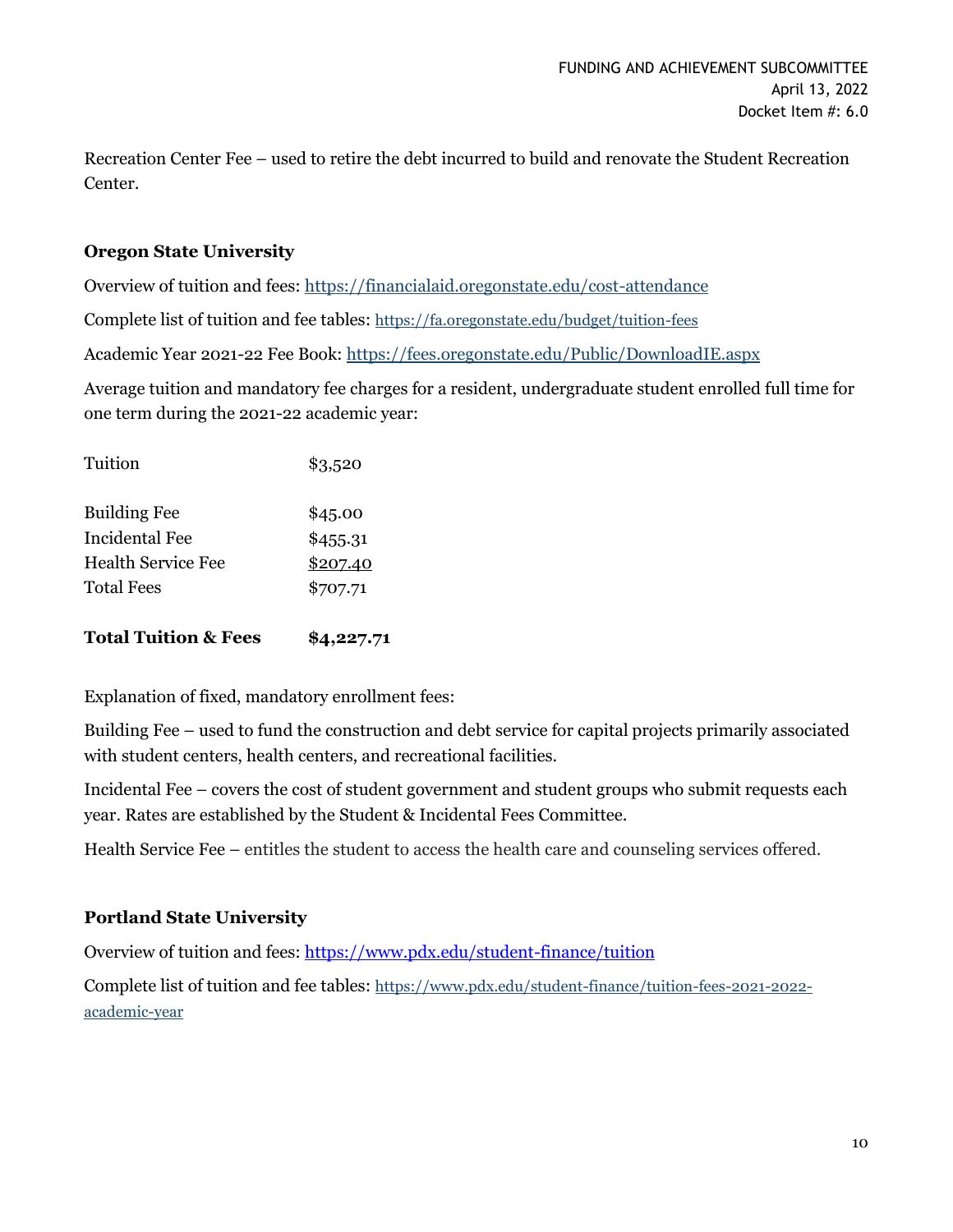Recreation Center Fee – used to retire the debt incurred to build and renovate the Student Recreation Center.

### **Oregon State University**

Overview of tuition and fees:<https://financialaid.oregonstate.edu/cost-attendance>

Complete list of tuition and fee tables: <https://fa.oregonstate.edu/budget/tuition-fees>

Academic Year 2021-22 Fee Book[: https://fees.oregonstate.edu/Public/DownloadIE.aspx](https://fees.oregonstate.edu/Public/DownloadIE.aspx)

Average tuition and mandatory fee charges for a resident, undergraduate student enrolled full time for one term during the 2021-22 academic year:

| Tuition                              | \$3,520              |
|--------------------------------------|----------------------|
| <b>Building Fee</b>                  | \$45.00              |
| Incidental Fee<br>Health Service Fee | \$455.31<br>\$207.40 |
| <b>Total Fees</b>                    | \$707.71             |
|                                      |                      |

**Total Tuition & Fees \$4,227.71**

Explanation of fixed, mandatory enrollment fees:

Building Fee – used to fund the construction and debt service for capital projects primarily associated with student centers, health centers, and recreational facilities.

Incidental Fee – covers the cost of student government and student groups who submit requests each year. Rates are established by the Student & Incidental Fees Committee.

Health Service Fee – entitles the student to access the health care and counseling services offered.

#### **Portland State University**

Overview of tuition and fees:<https://www.pdx.edu/student-finance/tuition>

Complete list of tuition and fee tables: [https://www.pdx.edu/student-finance/tuition-fees-2021-2022](https://www.pdx.edu/student-finance/tuition-fees-2021-2022-academic-year) [academic-year](https://www.pdx.edu/student-finance/tuition-fees-2021-2022-academic-year)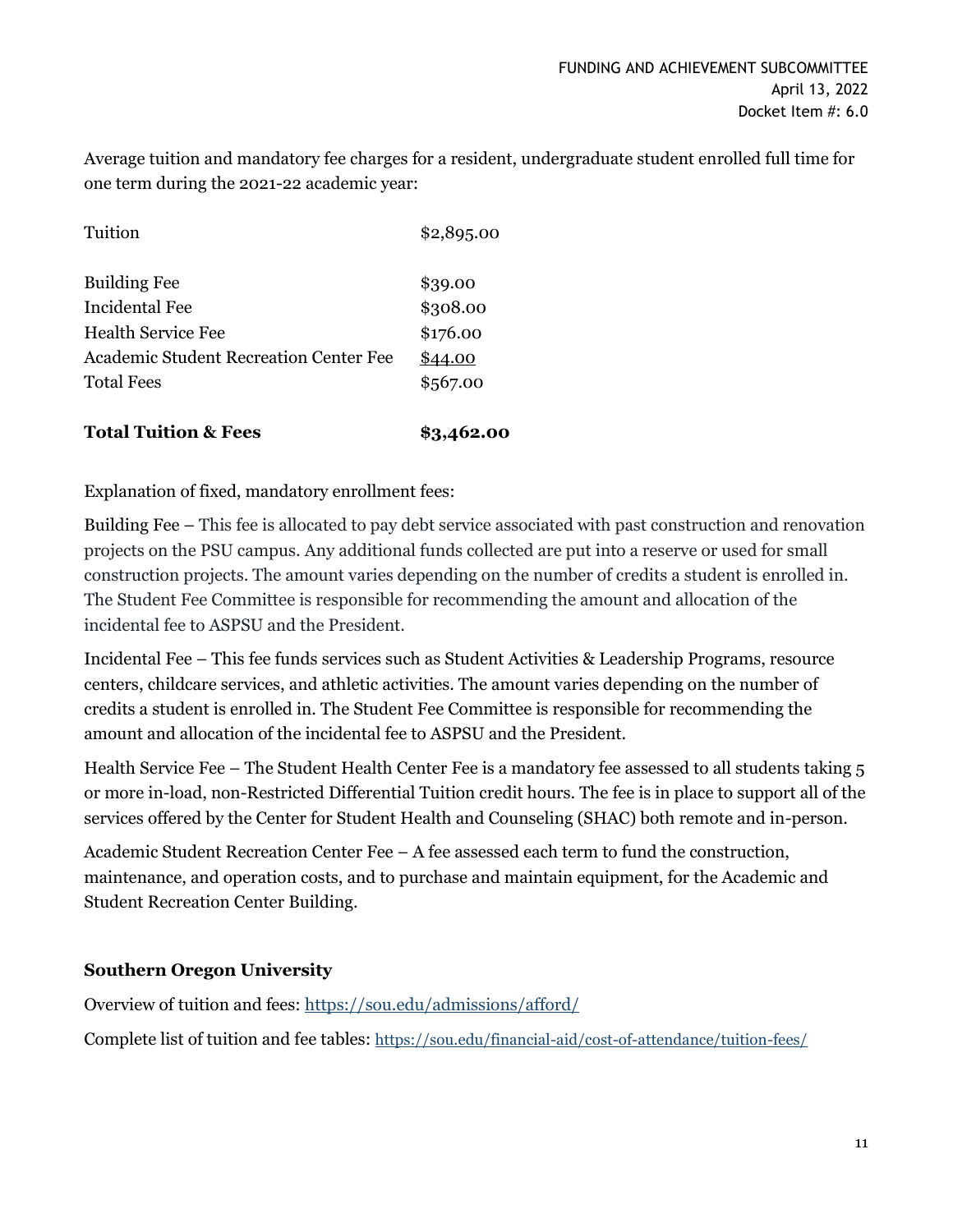Average tuition and mandatory fee charges for a resident, undergraduate student enrolled full time for one term during the 2021-22 academic year:

| <b>Total Tuition &amp; Fees</b>        | \$3,462.00 |
|----------------------------------------|------------|
| <b>Total Fees</b>                      | \$567.00   |
| Academic Student Recreation Center Fee | \$44.00    |
| <b>Health Service Fee</b>              | \$176.00   |
| Incidental Fee                         | \$308.00   |
| <b>Building Fee</b>                    | \$39.00    |
| Tuition                                | \$2,895.00 |
|                                        |            |

Explanation of fixed, mandatory enrollment fees:

Building Fee – This fee is allocated to pay debt service associated with past construction and renovation projects on the PSU campus. Any additional funds collected are put into a reserve or used for small construction projects. The amount varies depending on the number of credits a student is enrolled in. The Student Fee Committee is responsible for recommending the amount and allocation of the incidental fee to ASPSU and the President.

Incidental Fee – This fee funds services such as Student Activities & Leadership Programs, resource centers, childcare services, and athletic activities. The amount varies depending on the number of credits a student is enrolled in. The Student Fee Committee is responsible for recommending the amount and allocation of the incidental fee to ASPSU and the President.

Health Service Fee – The Student Health Center Fee is a mandatory fee assessed to all students taking 5 or more in-load, non-Restricted Differential Tuition credit hours. The fee is in place to support all of the services offered by the Center for Student Health and Counseling (SHAC) both remote and in-person.

Academic Student Recreation Center Fee – A fee assessed each term to fund the construction, maintenance, and operation costs, and to purchase and maintain equipment, for the Academic and Student Recreation Center Building.

### **Southern Oregon University**

Overview of tuition and fees:<https://sou.edu/admissions/afford/>

Complete list of tuition and fee tables: <https://sou.edu/financial-aid/cost-of-attendance/tuition-fees/>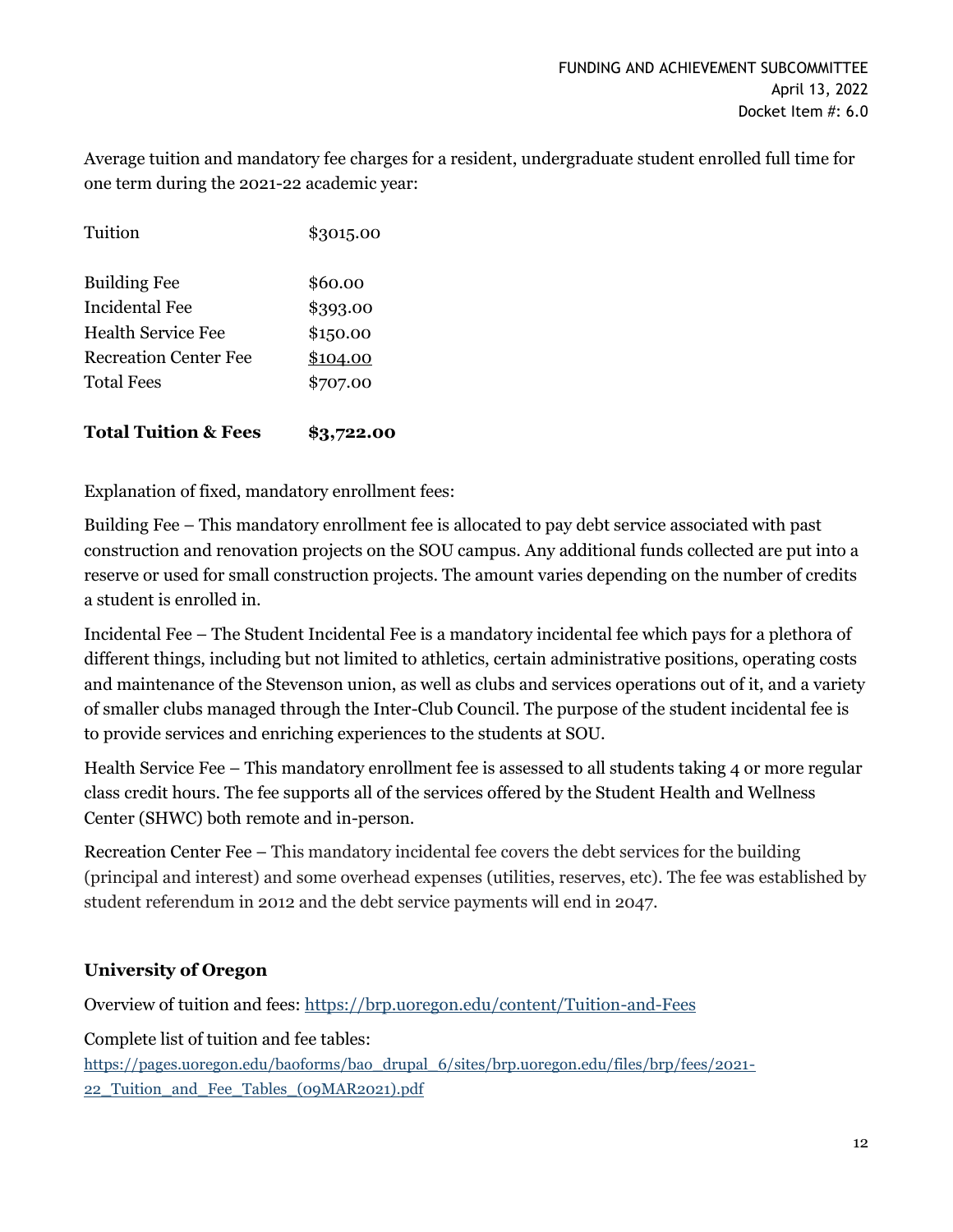Average tuition and mandatory fee charges for a resident, undergraduate student enrolled full time for one term during the 2021-22 academic year:

| <b>Total Tuition &amp; Fees</b> | \$3,722.00 |
|---------------------------------|------------|
| <b>Total Fees</b>               | \$707.00   |
| <b>Recreation Center Fee</b>    | \$104.00   |
| Health Service Fee              | \$150.00   |
| Incidental Fee                  | \$393.00   |
| <b>Building Fee</b>             | \$60.00    |
| Tuition                         | \$3015.00  |

Explanation of fixed, mandatory enrollment fees:

Building Fee – This mandatory enrollment fee is allocated to pay debt service associated with past construction and renovation projects on the SOU campus. Any additional funds collected are put into a reserve or used for small construction projects. The amount varies depending on the number of credits a student is enrolled in.

Incidental Fee – The Student Incidental Fee is a mandatory incidental fee which pays for a plethora of different things, including but not limited to athletics, certain administrative positions, operating costs and maintenance of the Stevenson union, as well as clubs and services operations out of it, and a variety of smaller clubs managed through the Inter-Club Council. The purpose of the student incidental fee is to provide services and enriching experiences to the students at SOU.

Health Service Fee – This mandatory enrollment fee is assessed to all students taking 4 or more regular class credit hours. The fee supports all of the services offered by the Student Health and Wellness Center (SHWC) both remote and in-person.

Recreation Center Fee – This mandatory incidental fee covers the debt services for the building (principal and interest) and some overhead expenses (utilities, reserves, etc). The fee was established by student referendum in 2012 and the debt service payments will end in 2047.

### **University of Oregon**

Overview of tuition and fees:<https://brp.uoregon.edu/content/Tuition-and-Fees>

Complete list of tuition and fee tables:

[https://pages.uoregon.edu/baoforms/bao\\_drupal\\_6/sites/brp.uoregon.edu/files/brp/fees/2021-](https://pages.uoregon.edu/baoforms/bao_drupal_6/sites/brp.uoregon.edu/files/brp/fees/2021-22_Tuition_and_Fee_Tables_(09MAR2021).pdf) [22\\_Tuition\\_and\\_Fee\\_Tables\\_\(09MAR2021\).pdf](https://pages.uoregon.edu/baoforms/bao_drupal_6/sites/brp.uoregon.edu/files/brp/fees/2021-22_Tuition_and_Fee_Tables_(09MAR2021).pdf)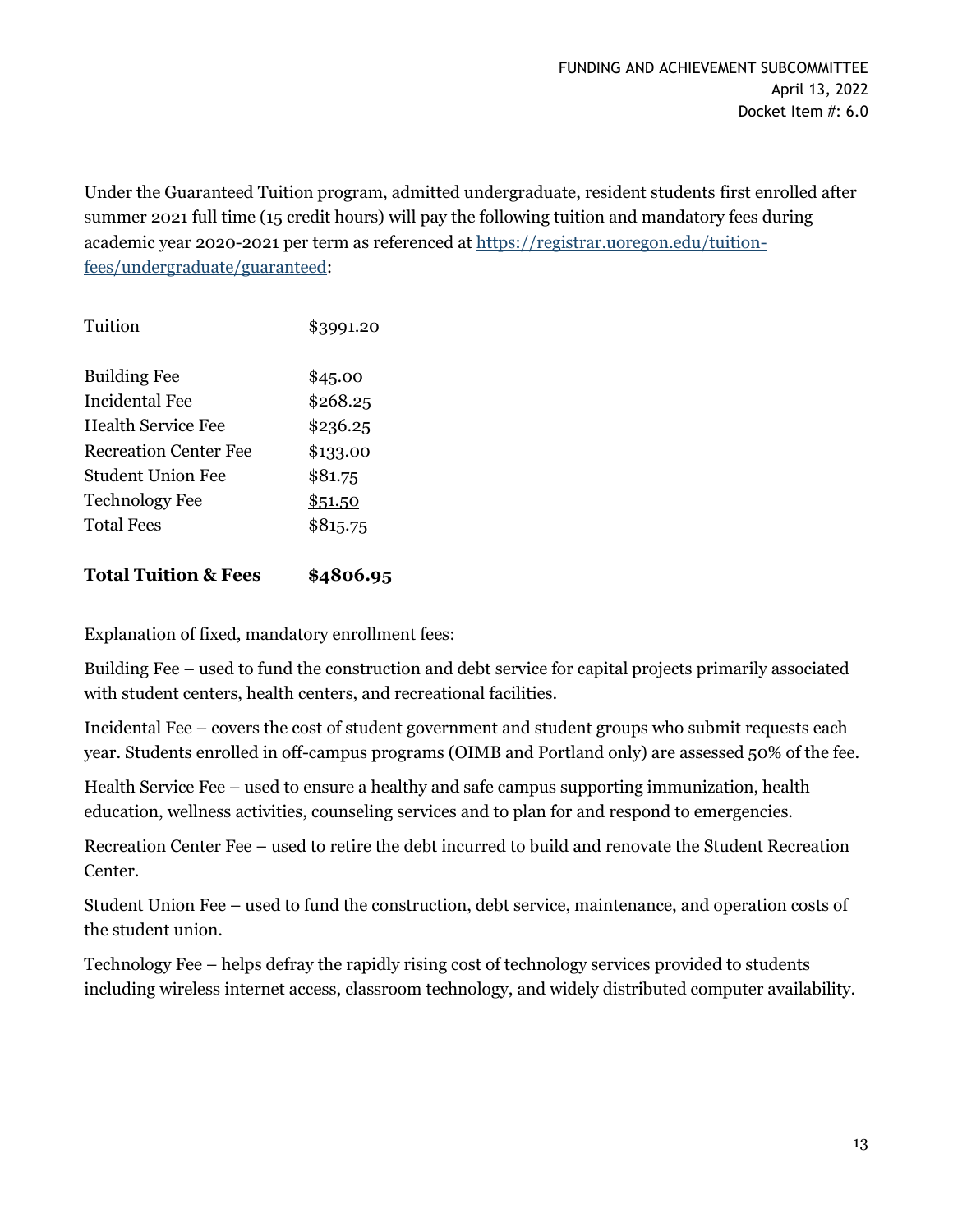Under the Guaranteed Tuition program, admitted undergraduate, resident students first enrolled after summer 2021 full time (15 credit hours) will pay the following tuition and mandatory fees during academic year 2020-2021 per term as referenced at [https://registrar.uoregon.edu/tuition](https://registrar.uoregon.edu/tuition-fees/undergraduate/guaranteed)[fees/undergraduate/guaranteed:](https://registrar.uoregon.edu/tuition-fees/undergraduate/guaranteed)

| Tuition               | \$3991.20 |
|-----------------------|-----------|
| <b>Building Fee</b>   | \$45.00   |
| Incidental Fee        | \$268.25  |
| Health Service Fee    | \$236.25  |
| Recreation Center Fee | \$133.00  |
| Student Union Fee     | \$81.75   |
| <b>Technology Fee</b> | \$51.50   |
| <b>Total Fees</b>     | \$815.75  |
|                       |           |

# **Total Tuition & Fees \$4806.95**

Explanation of fixed, mandatory enrollment fees:

Building Fee – used to fund the construction and debt service for capital projects primarily associated with student centers, health centers, and recreational facilities.

Incidental Fee – covers the cost of student government and student groups who submit requests each year. Students enrolled in off-campus programs (OIMB and Portland only) are assessed 50% of the fee.

Health Service Fee – used to ensure a healthy and safe campus supporting immunization, health education, wellness activities, counseling services and to plan for and respond to emergencies.

Recreation Center Fee – used to retire the debt incurred to build and renovate the Student Recreation Center.

Student Union Fee – used to fund the construction, debt service, maintenance, and operation costs of the student union.

Technology Fee – helps defray the rapidly rising cost of technology services provided to students including wireless internet access, classroom technology, and widely distributed computer availability.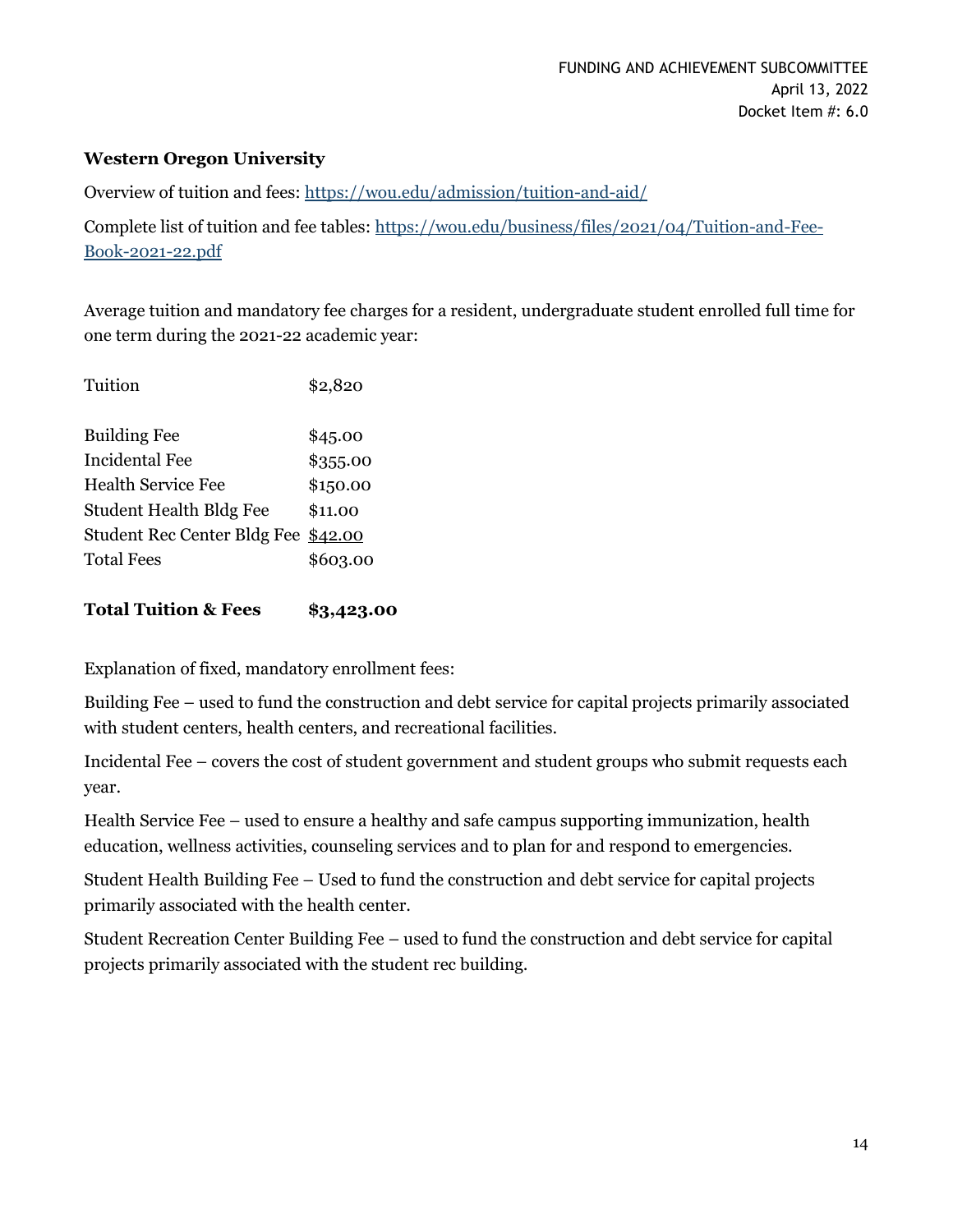### **Western Oregon University**

Overview of tuition and fees:<https://wou.edu/admission/tuition-and-aid/>

Complete list of tuition and fee tables: [https://wou.edu/business/files/2021/04/Tuition-and-Fee-](https://wou.edu/business/files/2021/04/Tuition-and-Fee-Book-2021-22.pdf)[Book-2021-22.pdf](https://wou.edu/business/files/2021/04/Tuition-and-Fee-Book-2021-22.pdf)

Average tuition and mandatory fee charges for a resident, undergraduate student enrolled full time for one term during the 2021-22 academic year:

| Tuition                             | \$2,820  |
|-------------------------------------|----------|
| <b>Building Fee</b>                 | \$45.00  |
| <b>Incidental Fee</b>               | \$355.00 |
| Health Service Fee                  | \$150.00 |
| <b>Student Health Bldg Fee</b>      | \$11.00  |
| Student Rec Center Bldg Fee \$42.00 |          |
| <b>Total Fees</b>                   | \$603.00 |
|                                     |          |

**Total Tuition & Fees \$3,423.00**

Explanation of fixed, mandatory enrollment fees:

Building Fee – used to fund the construction and debt service for capital projects primarily associated with student centers, health centers, and recreational facilities.

Incidental Fee – covers the cost of student government and student groups who submit requests each year.

Health Service Fee – used to ensure a healthy and safe campus supporting immunization, health education, wellness activities, counseling services and to plan for and respond to emergencies.

Student Health Building Fee – Used to fund the construction and debt service for capital projects primarily associated with the health center.

Student Recreation Center Building Fee – used to fund the construction and debt service for capital projects primarily associated with the student rec building.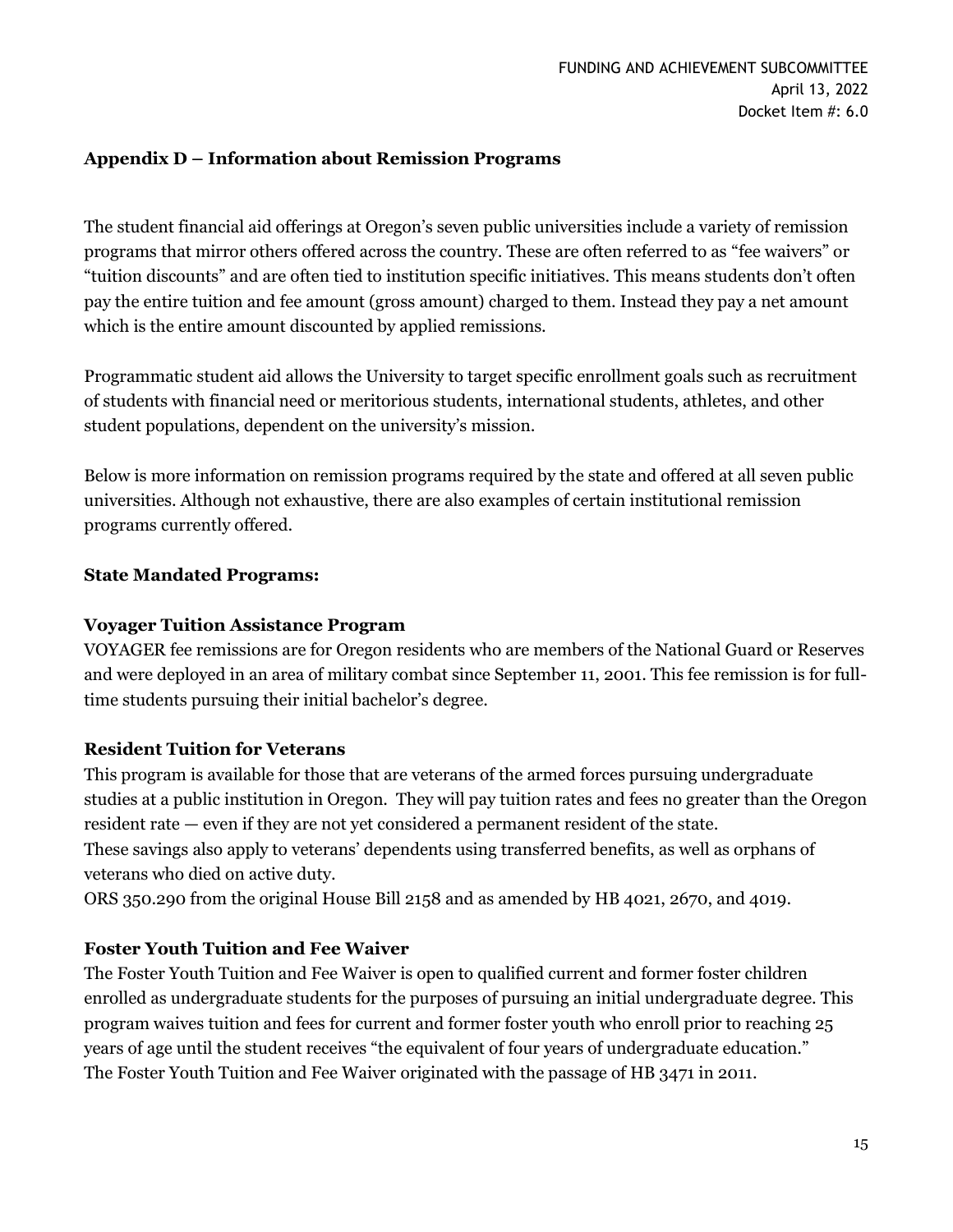### **Appendix D – Information about Remission Programs**

The student financial aid offerings at Oregon's seven public universities include a variety of remission programs that mirror others offered across the country. These are often referred to as "fee waivers" or "tuition discounts" and are often tied to institution specific initiatives. This means students don't often pay the entire tuition and fee amount (gross amount) charged to them. Instead they pay a net amount which is the entire amount discounted by applied remissions.

Programmatic student aid allows the University to target specific enrollment goals such as recruitment of students with financial need or meritorious students, international students, athletes, and other student populations, dependent on the university's mission.

Below is more information on remission programs required by the state and offered at all seven public universities. Although not exhaustive, there are also examples of certain institutional remission programs currently offered.

#### **State Mandated Programs:**

### **Voyager Tuition Assistance Program**

VOYAGER fee remissions are for Oregon residents who are members of the National Guard or Reserves and were deployed in an area of military combat since September 11, 2001. This fee remission is for fulltime students pursuing their initial bachelor's degree.

#### **Resident Tuition for Veterans**

This program is available for those that are veterans of the armed forces pursuing undergraduate studies at a public institution in Oregon. They will pay tuition rates and fees no greater than the Oregon resident rate — even if they are not yet considered a permanent resident of the state. These savings also apply to veterans' dependents using transferred benefits, as well as orphans of veterans who died on active duty.

ORS 350.290 from the original House Bill 2158 and as amended by HB 4021, 2670, and 4019.

### **Foster Youth Tuition and Fee Waiver**

The Foster Youth Tuition and Fee Waiver is open to qualified current and former foster children enrolled as undergraduate students for the purposes of pursuing an initial undergraduate degree. This program waives tuition and fees for current and former foster youth who enroll prior to reaching 25 years of age until the student receives "the equivalent of four years of undergraduate education." The Foster Youth Tuition and Fee Waiver originated with the passage of HB 3471 in 2011.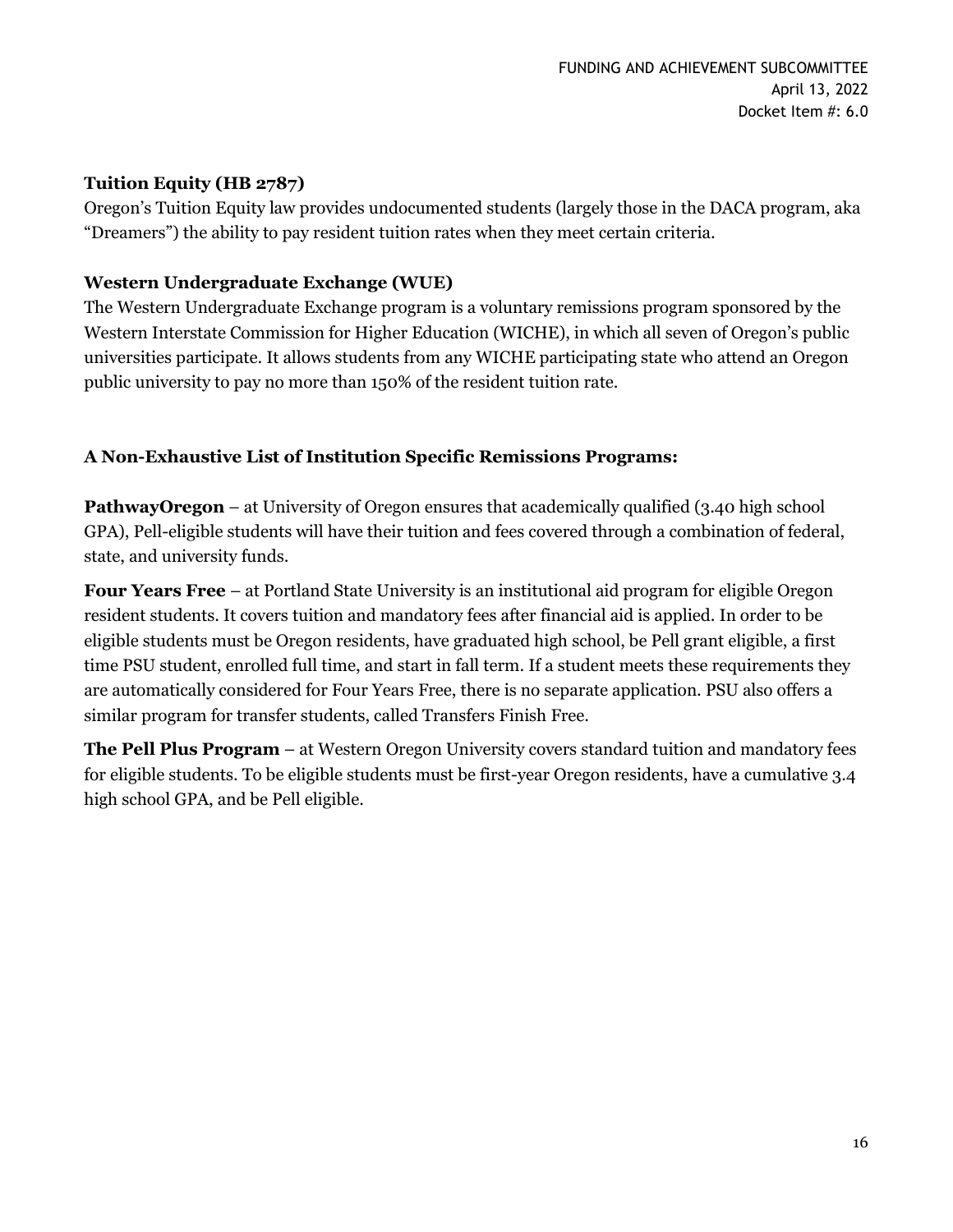### **Tuition Equity (HB 2787)**

Oregon's Tuition Equity law provides undocumented students (largely those in the DACA program, aka "Dreamers") the ability to pay resident tuition rates when they meet certain criteria.

### **Western Undergraduate Exchange (WUE)**

The Western Undergraduate Exchange program is a voluntary remissions program sponsored by the Western Interstate Commission for Higher Education (WICHE), in which all seven of Oregon's public universities participate. It allows students from any WICHE participating state who attend an Oregon public university to pay no more than 150% of the resident tuition rate.

# **A Non-Exhaustive List of Institution Specific Remissions Programs:**

**PathwayOregon** – at University of Oregon ensures that academically qualified (3.40 high school GPA), Pell-eligible students will have their tuition and fees covered through a combination of federal, state, and university funds.

**Four Years Free** – at Portland State University is an institutional aid program for eligible Oregon resident students. It covers tuition and mandatory fees after financial aid is applied. In order to be eligible students must be Oregon residents, have graduated high school, be Pell grant eligible, a first time PSU student, enrolled full time, and start in fall term. If a student meets these requirements they are automatically considered for Four Years Free, there is no separate application. PSU also offers a similar program for transfer students, called Transfers Finish Free.

**The Pell Plus Program** – at Western Oregon University covers standard tuition and mandatory fees for eligible students. To be eligible students must be first-year Oregon residents, have a cumulative 3.4 high school GPA, and be Pell eligible.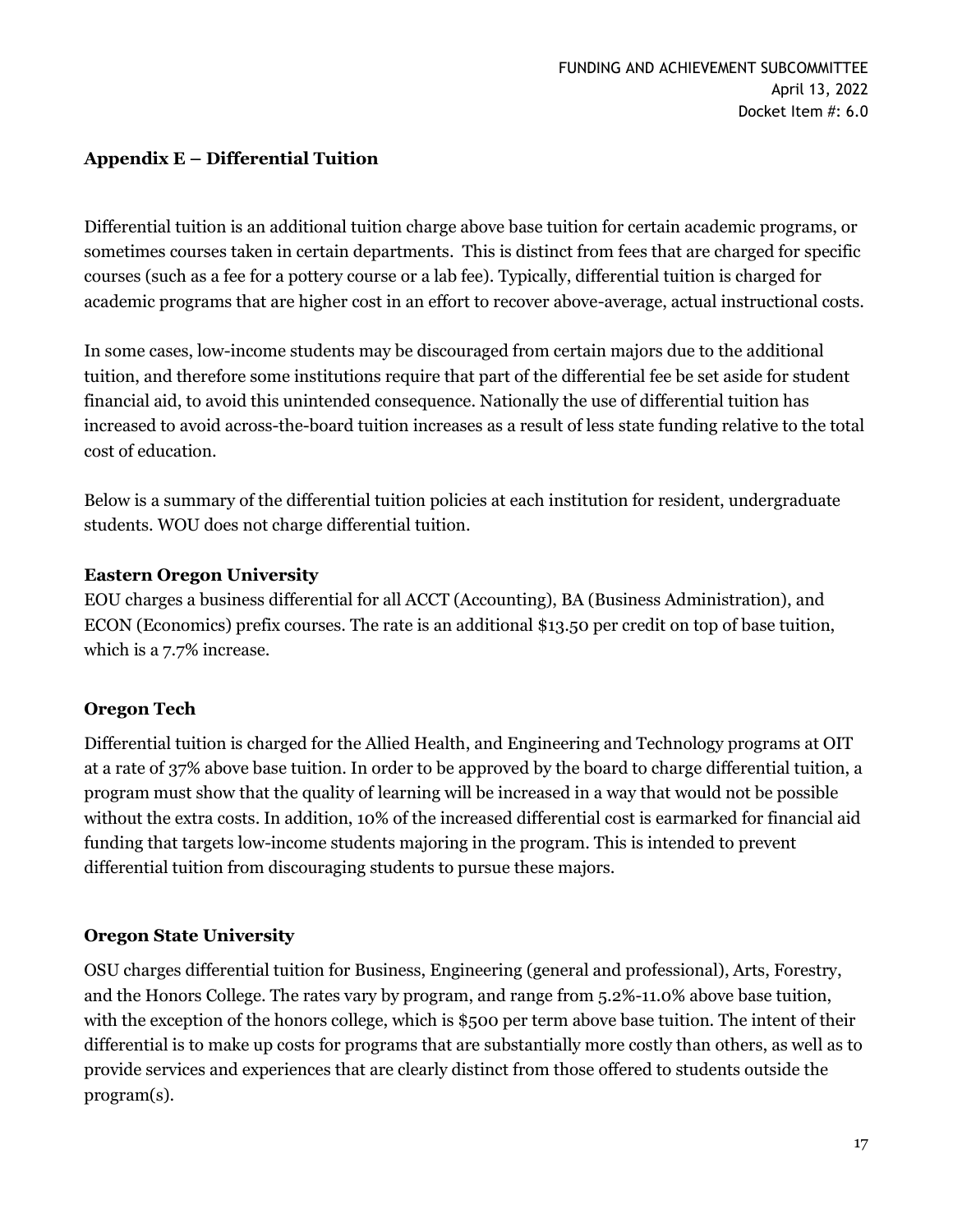## **Appendix E – Differential Tuition**

Differential tuition is an additional tuition charge above base tuition for certain academic programs, or sometimes courses taken in certain departments. This is distinct from fees that are charged for specific courses (such as a fee for a pottery course or a lab fee). Typically, differential tuition is charged for academic programs that are higher cost in an effort to recover above-average, actual instructional costs.

In some cases, low-income students may be discouraged from certain majors due to the additional tuition, and therefore some institutions require that part of the differential fee be set aside for student financial aid, to avoid this unintended consequence. Nationally the use of differential tuition has increased to avoid across-the-board tuition increases as a result of less state funding relative to the total cost of education.

Below is a summary of the differential tuition policies at each institution for resident, undergraduate students. WOU does not charge differential tuition.

# **Eastern Oregon University**

EOU charges a business differential for all ACCT (Accounting), BA (Business Administration), and ECON (Economics) prefix courses. The rate is an additional \$13.50 per credit on top of base tuition, which is a 7.7% increase.

# **Oregon Tech**

Differential tuition is charged for the Allied Health, and Engineering and Technology programs at OIT at a rate of 37% above base tuition. In order to be approved by the board to charge differential tuition, a program must show that the quality of learning will be increased in a way that would not be possible without the extra costs. In addition, 10% of the increased differential cost is earmarked for financial aid funding that targets low-income students majoring in the program. This is intended to prevent differential tuition from discouraging students to pursue these majors.

### **Oregon State University**

OSU charges differential tuition for Business, Engineering (general and professional), Arts, Forestry, and the Honors College. The rates vary by program, and range from 5.2%-11.0% above base tuition, with the exception of the honors college, which is \$500 per term above base tuition. The intent of their differential is to make up costs for programs that are substantially more costly than others, as well as to provide services and experiences that are clearly distinct from those offered to students outside the program(s).